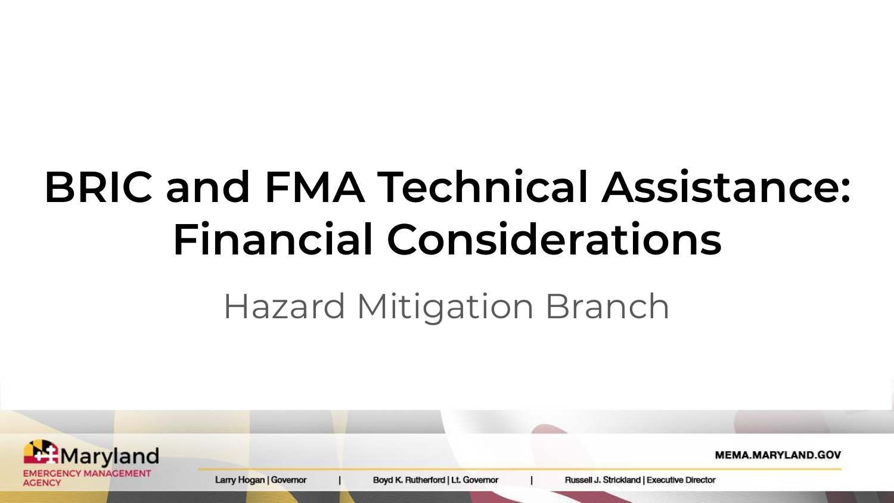# **BRIC and FMA Technical Assistance: Financial Considerations**

#### Hazard Mitigation Branch

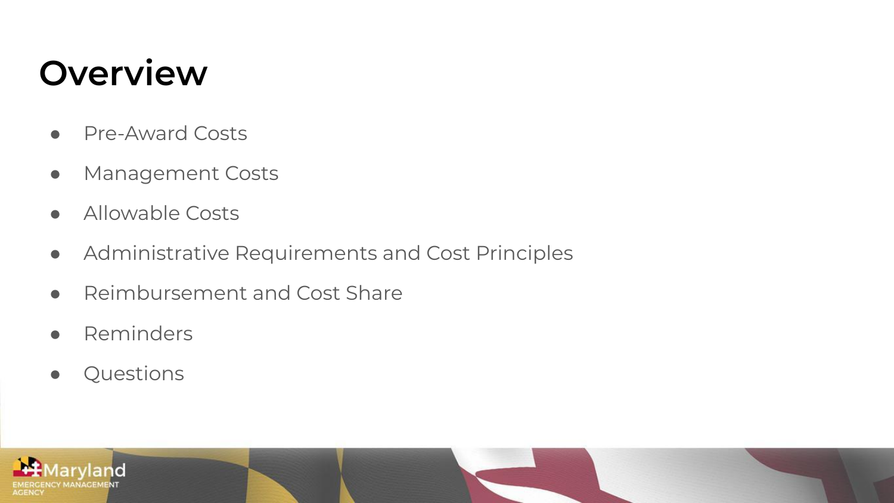#### **Overview**

- Pre-Award Costs
- Management Costs
- Allowable Costs
- Administrative Requirements and Cost Principles
- Reimbursement and Cost Share
- Reminders
- Questions

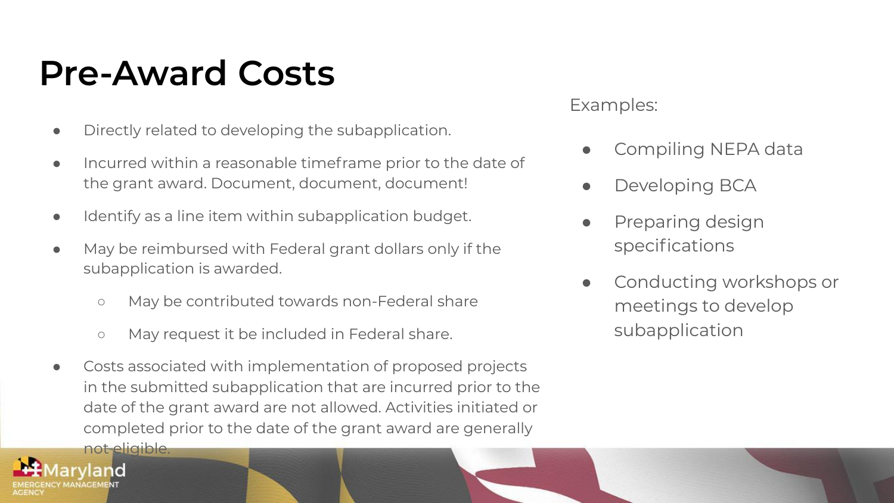#### **Pre-Award Costs**

- Directly related to developing the subapplication.
- Incurred within a reasonable timeframe prior to the date of the grant award. Document, document, document!
- Identify as a line item within subapplication budget.
- May be reimbursed with Federal grant dollars only if the subapplication is awarded.
	- May be contributed towards non-Federal share
	- May request it be included in Federal share.
- Costs associated with implementation of proposed projects in the submitted subapplication that are incurred prior to the date of the grant award are not allowed. Activities initiated or completed prior to the date of the grant award are generally

#### Examples:

- Compiling NEPA data
- Developing BCA
- Preparing design specifications
- Conducting workshops or meetings to develop subapplication

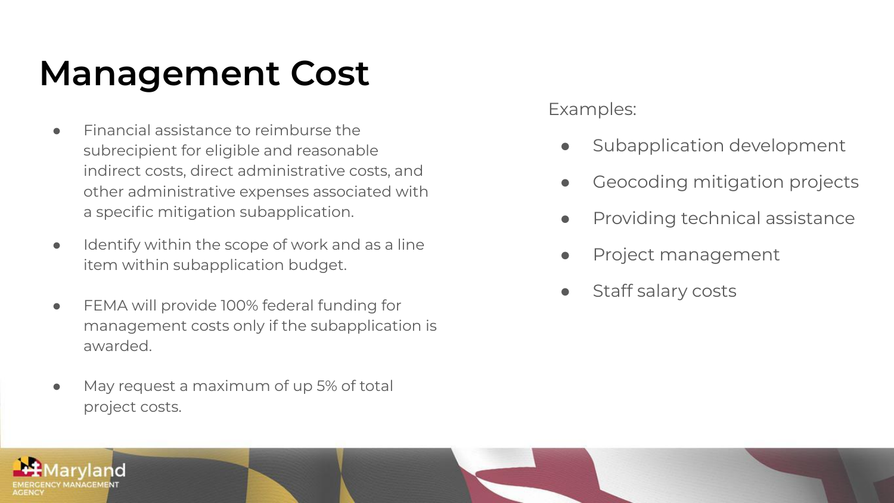### **Management Cost**

- Financial assistance to reimburse the subrecipient for eligible and reasonable indirect costs, direct administrative costs, and other administrative expenses associated with a specific mitigation subapplication.
- Identify within the scope of work and as a line item within subapplication budget.
- FEMA will provide 100% federal funding for management costs only if the subapplication is awarded.
- May request a maximum of up 5% of total project costs.

#### Examples:

- Subapplication development
- Geocoding mitigation projects
- Providing technical assistance
- Project management
- Staff salary costs

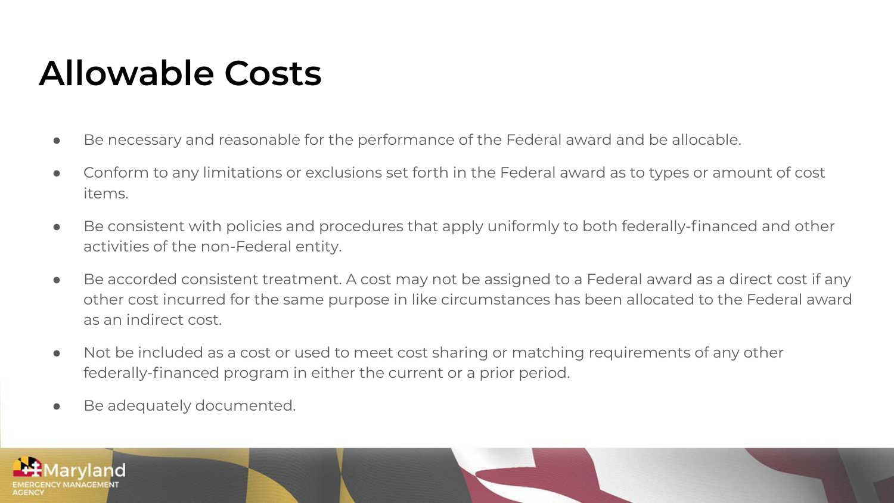#### **Allowable Costs**

- Be necessary and reasonable for the performance of the Federal award and be allocable.
- Conform to any limitations or exclusions set forth in the Federal award as to types or amount of cost items.
- Be consistent with policies and procedures that apply uniformly to both federally-financed and other activities of the [non-Federal entity.](https://www.law.cornell.edu/definitions/index.php?width=840&height=800&iframe=true&def_id=e70d4d5b3d21f635ea2aec391214bde6&term_occur=999&term_src=Title:2:Subtitle:A:Chapter:II:Part:200:Subpart:E:Subjgrp:40:200.403)
- Be accorded consistent treatment. A cost may not be assigned to a Federal award as a direct cost if any other cost incurred for the same purpose in like circumstances has been allocated to the Federal award as an indirect cost.
- Not be included as a cost or used to meet [cost sharing or matching](https://www.law.cornell.edu/definitions/index.php?width=840&height=800&iframe=true&def_id=9732be0a1e3103eb251bf2fc0e82980d&term_occur=999&term_src=Title:2:Subtitle:A:Chapter:II:Part:200:Subpart:E:Subjgrp:40:200.403) requirements of any other federally-financed program in either the current or a prior period.
- Be adequately documented.

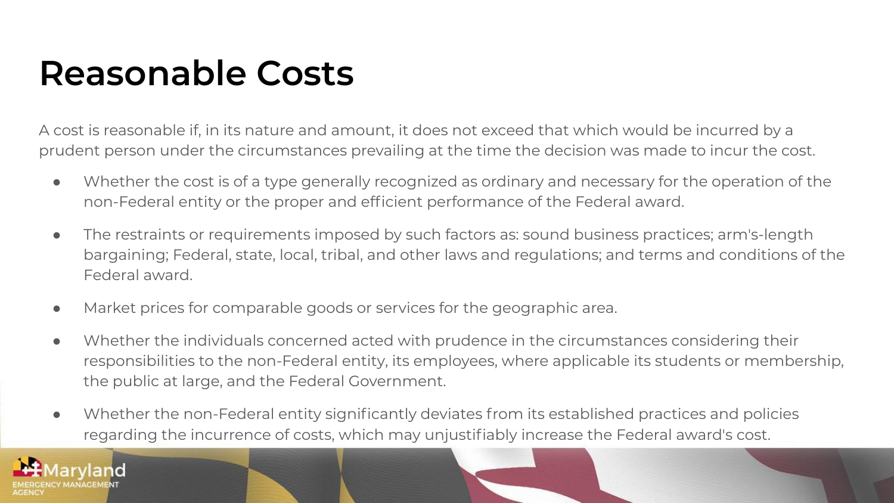#### **Reasonable Costs**

A cost is reasonable if, in its nature and amount, it does not exceed that which would be incurred by a prudent person under the circumstances prevailing at the time the decision was made to incur the cost.

- Whether the cost is of a type generally recognized as ordinary and necessary for the operation of the [non-Federal entity](https://www.law.cornell.edu/definitions/index.php?width=840&height=800&iframe=true&def_id=e70d4d5b3d21f635ea2aec391214bde6&term_occur=999&term_src=Title:2:Subtitle:A:Chapter:II:Part:200:Subpart:E:Subjgrp:40:200.404) or the proper and efficient performance of the Federal award.
- The restraints or requirements imposed by such factors as: sound business practices; arm's-length bargaining; Federal, [state,](https://www.law.cornell.edu/definitions/index.php?width=840&height=800&iframe=true&def_id=89450cc597955157f0392deeabdb3199&term_occur=999&term_src=Title:2:Subtitle:A:Chapter:II:Part:200:Subpart:E:Subjgrp:40:200.404) local, tribal, and other laws and regulations; and terms and conditions of the Federal award.
- Market prices for comparable goods or services for the geographic area.
- Whether the individuals concerned acted with prudence in the circumstances considering their responsibilities to the [non-Federal entity](https://www.law.cornell.edu/definitions/index.php?width=840&height=800&iframe=true&def_id=e70d4d5b3d21f635ea2aec391214bde6&term_occur=999&term_src=Title:2:Subtitle:A:Chapter:II:Part:200:Subpart:E:Subjgrp:40:200.404), its employees, where applicable its students or membership, the public at large, and the Federal Government.
- Whether the [non-Federal entity](https://www.law.cornell.edu/definitions/index.php?width=840&height=800&iframe=true&def_id=e70d4d5b3d21f635ea2aec391214bde6&term_occur=999&term_src=Title:2:Subtitle:A:Chapter:II:Part:200:Subpart:E:Subjgrp:40:200.404) significantly deviates from its established practices and policies regarding the incurrence of costs, which may unjustifiably increase the Federal award's cost.

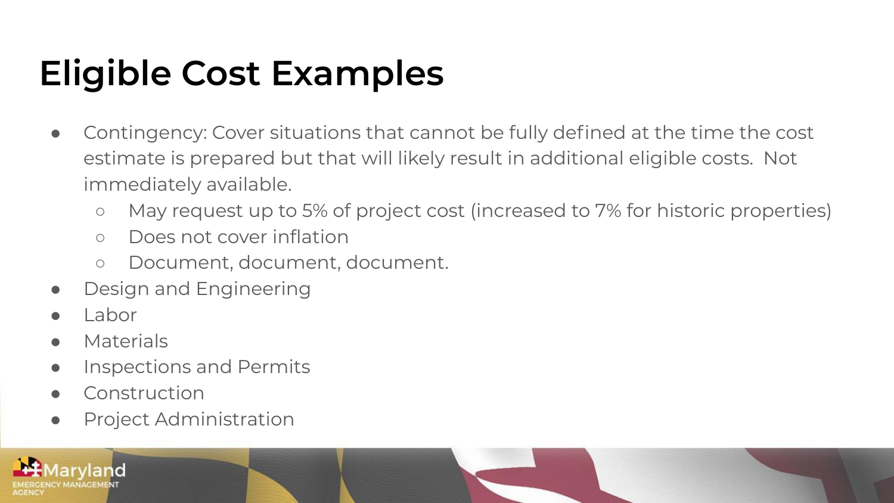## **Eligible Cost Examples**

- Contingency: Cover situations that cannot be fully defined at the time the cost estimate is prepared but that will likely result in additional eligible costs. Not immediately available.
	- May request up to 5% of project cost (increased to 7% for historic properties)
	- Does not cover inflation
	- Document, document, document.
- Design and Engineering
- Labor
- **Materials**
- Inspections and Permits
- Construction
- Project Administration

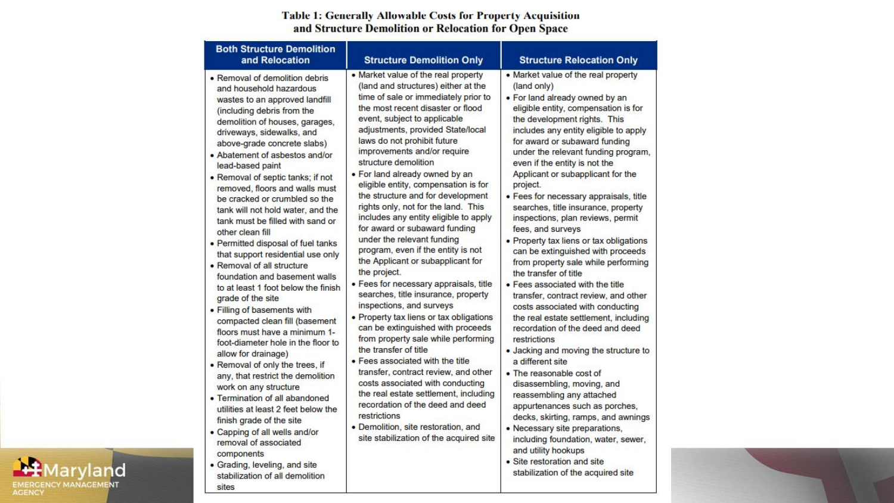#### Table 1: Generally Allowable Costs for Property Acquisition<br>and Structure Demolition or Relocation for Open Space

| <b>Both Structure Demolition</b><br>and Relocation                                                                                                                                                                                                                                                                                                                                                                                                                                                                                                                                                                                                                                                                                                                                                                                                                                                                                                                                                                                                                                                                                                                                                                 | <b>Structure Demolition Only</b>                                                                                                                                                                                                                                                                                                                                                                                                                                                                                                                                                                                                                                                                                                                                                                                                                                                                                                                                                                                                                                                                                                                                                                                                        | <b>Structure Relocation Only</b>                                                                                                                                                                                                                                                                                                                                                                                                                                                                                                                                                                                                                                                                                                                                                                                                                                                                                                                                                                                                                                                                                                                                                                                                                                          |
|--------------------------------------------------------------------------------------------------------------------------------------------------------------------------------------------------------------------------------------------------------------------------------------------------------------------------------------------------------------------------------------------------------------------------------------------------------------------------------------------------------------------------------------------------------------------------------------------------------------------------------------------------------------------------------------------------------------------------------------------------------------------------------------------------------------------------------------------------------------------------------------------------------------------------------------------------------------------------------------------------------------------------------------------------------------------------------------------------------------------------------------------------------------------------------------------------------------------|-----------------------------------------------------------------------------------------------------------------------------------------------------------------------------------------------------------------------------------------------------------------------------------------------------------------------------------------------------------------------------------------------------------------------------------------------------------------------------------------------------------------------------------------------------------------------------------------------------------------------------------------------------------------------------------------------------------------------------------------------------------------------------------------------------------------------------------------------------------------------------------------------------------------------------------------------------------------------------------------------------------------------------------------------------------------------------------------------------------------------------------------------------------------------------------------------------------------------------------------|---------------------------------------------------------------------------------------------------------------------------------------------------------------------------------------------------------------------------------------------------------------------------------------------------------------------------------------------------------------------------------------------------------------------------------------------------------------------------------------------------------------------------------------------------------------------------------------------------------------------------------------------------------------------------------------------------------------------------------------------------------------------------------------------------------------------------------------------------------------------------------------------------------------------------------------------------------------------------------------------------------------------------------------------------------------------------------------------------------------------------------------------------------------------------------------------------------------------------------------------------------------------------|
| • Removal of demolition debris<br>and household hazardous<br>wastes to an approved landfill<br>(including debris from the<br>demolition of houses, garages,<br>driveways, sidewalks, and<br>above-grade concrete slabs)<br>• Abatement of asbestos and/or<br>lead-based paint<br>• Removal of septic tanks; if not<br>removed, floors and walls must<br>be cracked or crumbled so the<br>tank will not hold water, and the<br>tank must be filled with sand or<br>other clean fill<br>• Permitted disposal of fuel tanks<br>that support residential use only<br>• Removal of all structure<br>foundation and basement walls<br>to at least 1 foot below the finish<br>grade of the site<br>• Filling of basements with<br>compacted clean fill (basement<br>floors must have a minimum 1-<br>foot-diameter hole in the floor to<br>allow for drainage)<br>• Removal of only the trees, if<br>any, that restrict the demolition<br>work on any structure<br>• Termination of all abandoned<br>utilities at least 2 feet below the<br>finish grade of the site<br>• Capping of all wells and/or<br>removal of associated<br>components<br>• Grading, leveling, and site<br>stabilization of all demolition<br>sites | • Market value of the real property<br>(land and structures) either at the<br>time of sale or immediately prior to<br>the most recent disaster or flood<br>event, subject to applicable<br>adjustments, provided State/local<br>laws do not prohibit future<br>improvements and/or require<br>structure demolition<br>. For land already owned by an<br>eligible entity, compensation is for<br>the structure and for development<br>rights only, not for the land. This<br>includes any entity eligible to apply<br>for award or subaward funding<br>under the relevant funding<br>program, even if the entity is not<br>the Applicant or subapplicant for<br>the project.<br>• Fees for necessary appraisals, title<br>searches, title insurance, property<br>inspections, and surveys<br>• Property tax liens or tax obligations<br>can be extinguished with proceeds<br>from property sale while performing<br>the transfer of title<br>• Fees associated with the title<br>transfer, contract review, and other<br>costs associated with conducting<br>the real estate settlement, including<br>recordation of the deed and deed<br>restrictions<br>• Demolition, site restoration, and<br>site stabilization of the acquired site | • Market value of the real property<br>(land only)<br>• For land already owned by an<br>eligible entity, compensation is for<br>the development rights. This<br>includes any entity eligible to apply<br>for award or subaward funding<br>under the relevant funding program,<br>even if the entity is not the<br>Applicant or subapplicant for the<br>project.<br>• Fees for necessary appraisals, title<br>searches, title insurance, property<br>inspections, plan reviews, permit<br>fees, and surveys<br>• Property tax liens or tax obligations<br>can be extinguished with proceeds<br>from property sale while performing<br>the transfer of title<br>. Fees associated with the title<br>transfer, contract review, and other<br>costs associated with conducting<br>the real estate settlement, including<br>recordation of the deed and deed<br>restrictions<br>• Jacking and moving the structure to<br>a different site<br>• The reasonable cost of<br>disassembling, moving, and<br>reassembling any attached<br>appurtenances such as porches,<br>decks, skirting, ramps, and awnings<br>• Necessary site preparations,<br>including foundation, water, sewer,<br>and utility hookups<br>• Site restoration and site<br>stabilization of the acquired site |



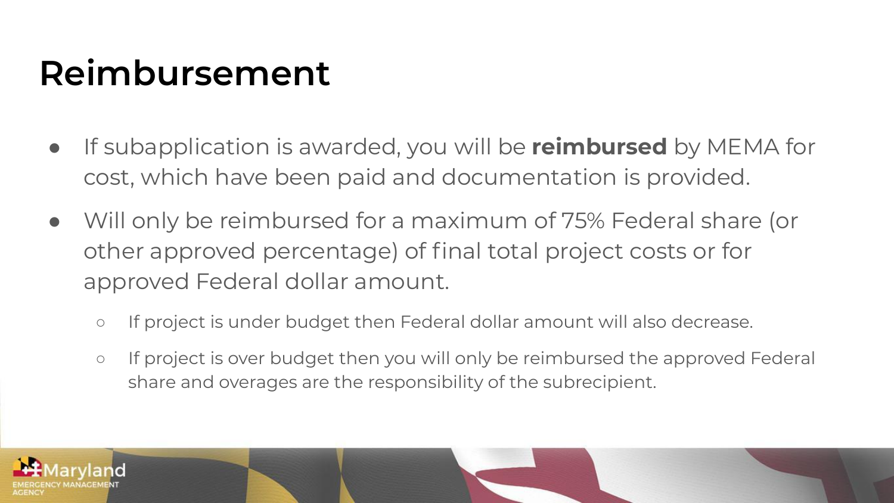### **Reimbursement**

- If subapplication is awarded, you will be **reimbursed** by MEMA for cost, which have been paid and documentation is provided.
- Will only be reimbursed for a maximum of 75% Federal share (or other approved percentage) of final total project costs or for approved Federal dollar amount.
	- If project is under budget then Federal dollar amount will also decrease.
	- If project is over budget then you will only be reimbursed the approved Federal share and overages are the responsibility of the subrecipient.

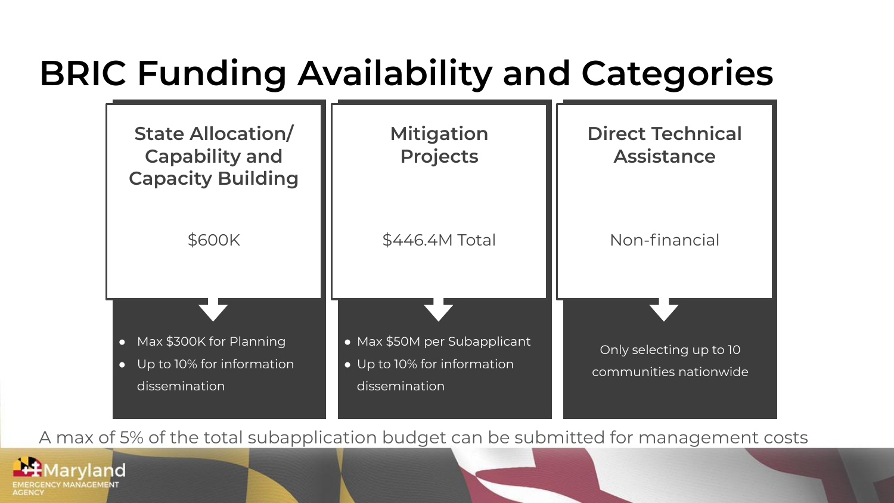### **BRIC Funding Availability and Categories**



A max of 5% of the total subapplication budget can be submitted for management costs

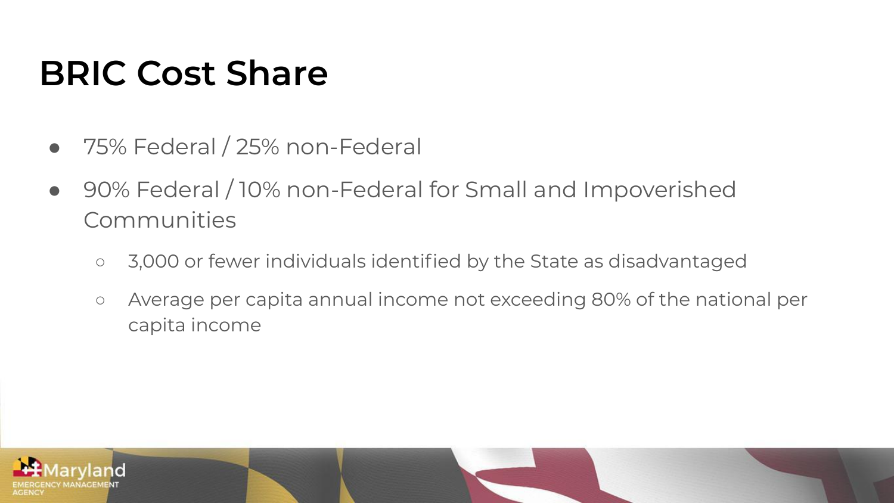#### **BRIC Cost Share**

- 75% Federal / 25% non-Federal
- 90% Federal / 10% non-Federal for Small and Impoverished Communities
	- 3,000 or fewer individuals identified by the State as disadvantaged
	- Average per capita annual income not exceeding 80% of the national per capita income

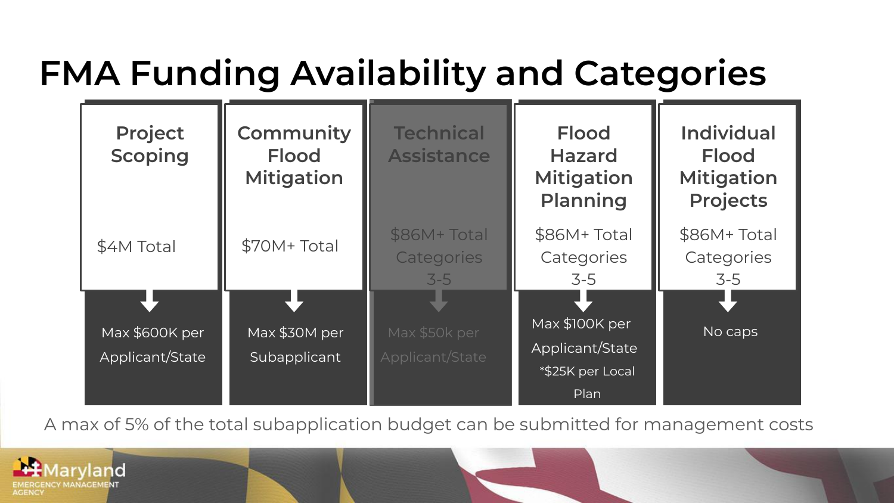### **FMA Funding Availability and Categories**

| <b>Project</b><br><b>Scoping</b>  | Community<br>Flood<br><b>Mitigation</b> | <b>Technical</b><br><b>Assistance</b> | <b>Flood</b><br><b>Hazard</b><br><b>Mitigation</b><br><b>Planning</b> | <b>Individual</b><br>Flood<br><b>Mitigation</b><br><b>Projects</b> |
|-----------------------------------|-----------------------------------------|---------------------------------------|-----------------------------------------------------------------------|--------------------------------------------------------------------|
| \$4M Total                        | \$70M+Total                             | \$86M+Total<br>Categories<br>$3 - 5$  | \$86M+Total<br>Categories<br>$3-5$                                    | \$86M+Total<br>Categories<br>$3-5$                                 |
| Max \$600K per<br>Applicant/State | Max \$30M per<br>Subapplicant           | Max \$50k per<br>Applicant/State      | Max \$100K per<br>Applicant/State<br>*\$25K per Local<br>Plan         | No caps                                                            |

A max of 5% of the total subapplication budget can be submitted for management costs

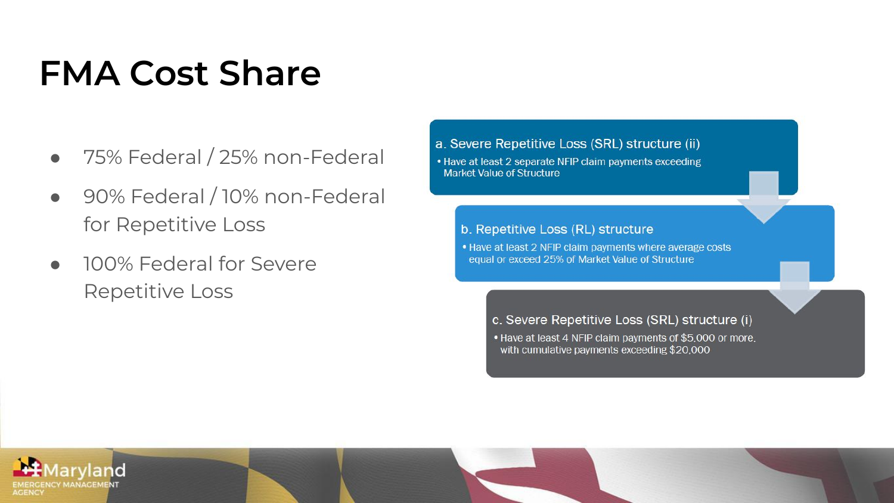#### **FMA Cost Share**

- 75% Federal / 25% non-Federal
- 90% Federal / 10% non-Federal for Repetitive Loss
- 100% Federal for Severe Repetitive Loss

a. Severe Repetitive Loss (SRL) structure (ii) • Have at least 2 separate NFIP claim payments exceeding Market Value of Structure

b. Repetitive Loss (RL) structure

• Have at least 2 NFIP claim payments where average costs equal or exceed 25% of Market Value of Structure

c. Severe Repetitive Loss (SRL) structure (i)

• Have at least 4 NFIP claim payments of \$5,000 or more, with cumulative payments exceeding \$20,000

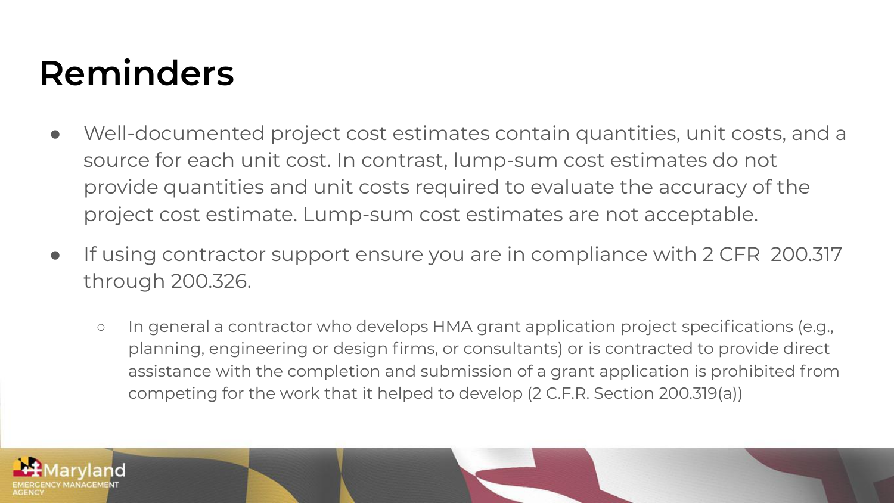#### **Reminders**

- Well-documented project cost estimates contain quantities, unit costs, and a source for each unit cost. In contrast, lump-sum cost estimates do not provide quantities and unit costs required to evaluate the accuracy of the project cost estimate. Lump-sum cost estimates are not acceptable.
- If using contractor support ensure you are in compliance with 2 CFR 200.317 through 200.326.
	- In general a contractor who develops HMA grant application project specifications (e.g., planning, engineering or design firms, or consultants) or is contracted to provide direct assistance with the completion and submission of a grant application is prohibited from competing for the work that it helped to develop (2 C.F.R. Section 200.319(a))

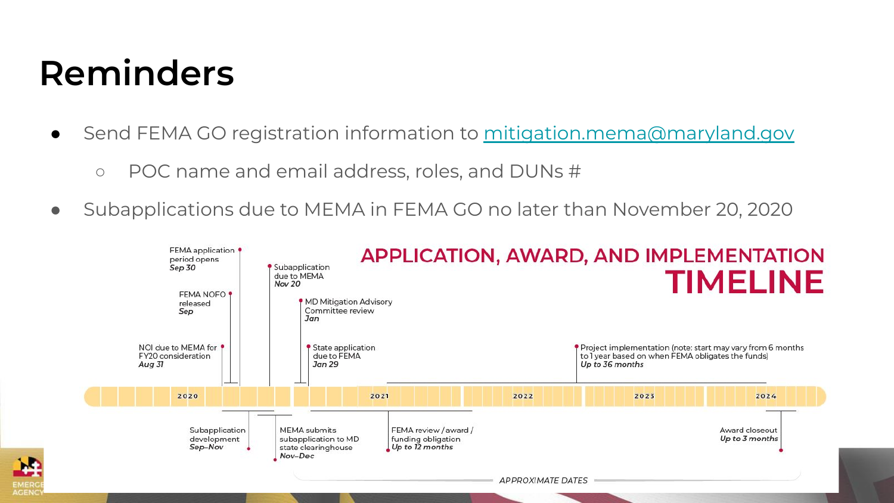#### **Reminders**

- Send FEMA GO registration information to [mitigation.mema@maryland.gov](mailto:mitigation.mema@maryland.gov)
	- POC name and email address, roles, and DUNs #
- Subapplications due to MEMA in FEMA GO no later than November 20, 2020

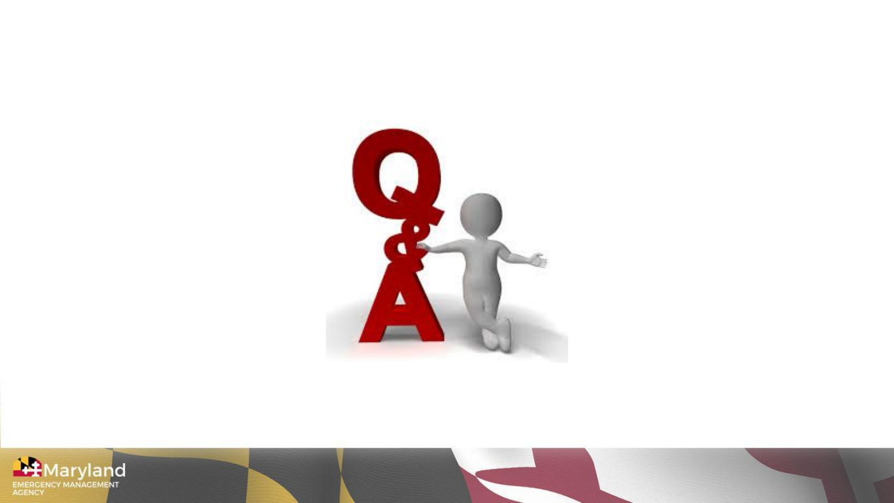

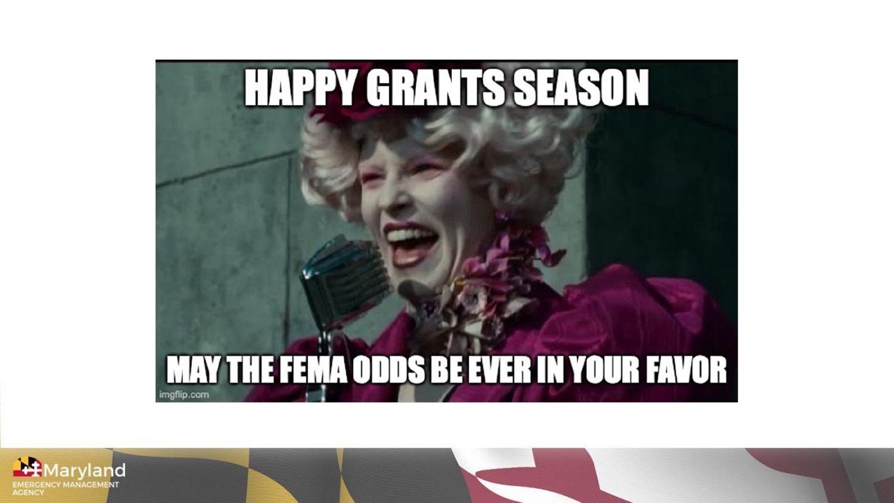